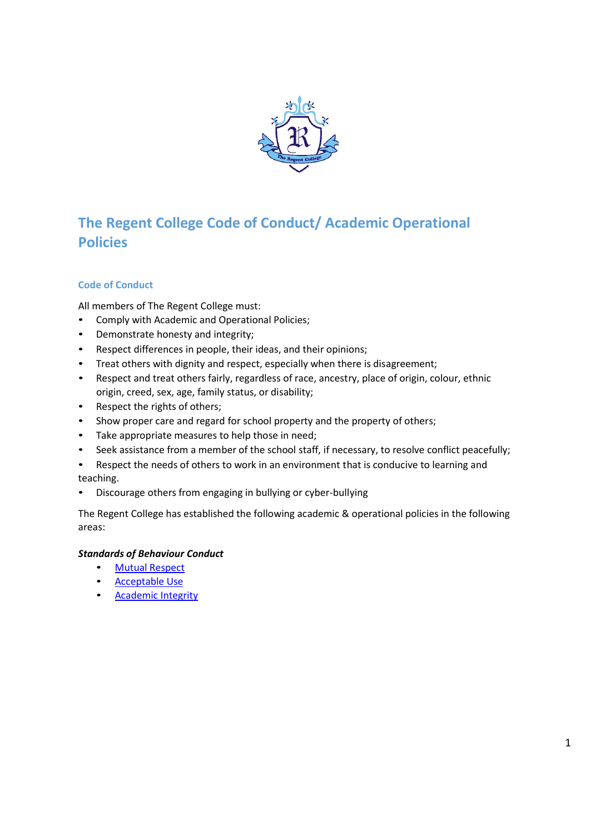

# **The Regent College Code of Conduct/ Academic Operational Policies**

## **Code of Conduct**

All members of The Regent College must:

- Comply with Academic and Operational Policies;
- Demonstrate honesty and integrity;
- Respect differences in people, their ideas, and their opinions;
- Treat others with dignity and respect, especially when there is disagreement;
- Respect and treat others fairly, regardless of race, ancestry, place of origin, colour, ethnic origin, creed, sex, age, family status, or disability;
- Respect the rights of others;
- Show proper care and regard for school property and the property of others;
- Take appropriate measures to help those in need;
- Seek assistance from a member of the school staff, if necessary, to resolve conflict peacefully;
- Respect the needs of others to work in an environment that is conducive to learning and teaching.
- Discourage others from engaging in bullying or cyber-bullying

The Regent College has established the following academic & operational policies in the following areas:

## *Standards of Behaviour Conduct*

- Mutual Respect
- Acceptable Use
- **Academic Integrity**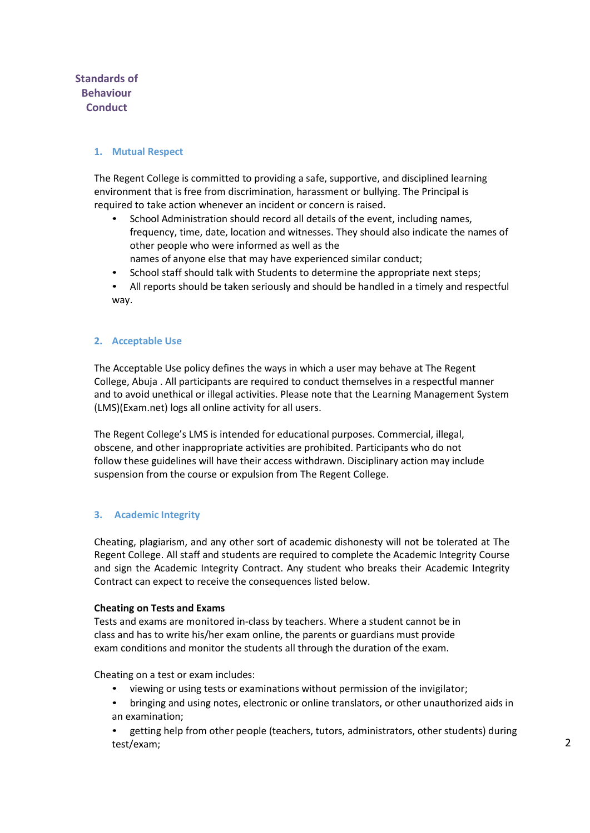# **Standards of Behaviour Conduct**

## **1. Mutual Respect**

The Regent College is committed to providing a safe, supportive, and disciplined learning environment that is free from discrimination, harassment or bullying. The Principal is required to take action whenever an incident or concern is raised.

- School Administration should record all details of the event, including names, frequency, time, date, location and witnesses. They should also indicate the names of other people who were informed as well as the
- names of anyone else that may have experienced similar conduct;
- School staff should talk with Students to determine the appropriate next steps;
- All reports should be taken seriously and should be handled in a timely and respectful way.

## **2. Acceptable Use**

The Acceptable Use policy defines the ways in which a user may behave at The Regent College, Abuja . All participants are required to conduct themselves in a respectful manner and to avoid unethical or illegal activities. Please note that the Learning Management System (LMS)(Exam.net) logs all online activity for all users.

The Regent College's LMS is intended for educational purposes. Commercial, illegal, obscene, and other inappropriate activities are prohibited. Participants who do not follow these guidelines will have their access withdrawn. Disciplinary action may include suspension from the course or expulsion from The Regent College.

## **3. Academic Integrity**

Cheating, plagiarism, and any other sort of academic dishonesty will not be tolerated at The Regent College. All staff and students are required to complete the Academic Integrity Course and sign the Academic Integrity Contract. Any student who breaks their Academic Integrity Contract can expect to receive the consequences listed below.

#### **Cheating on Tests and Exams**

Tests and exams are monitored in-class by teachers. Where a student cannot be in class and has to write his/her exam online, the parents or guardians must provide exam conditions and monitor the students all through the duration of the exam.

Cheating on a test or exam includes:

- viewing or using tests or examinations without permission of the invigilator;
- bringing and using notes, electronic or online translators, or other unauthorized aids in an examination;
- getting help from other people (teachers, tutors, administrators, other students) during test/exam;